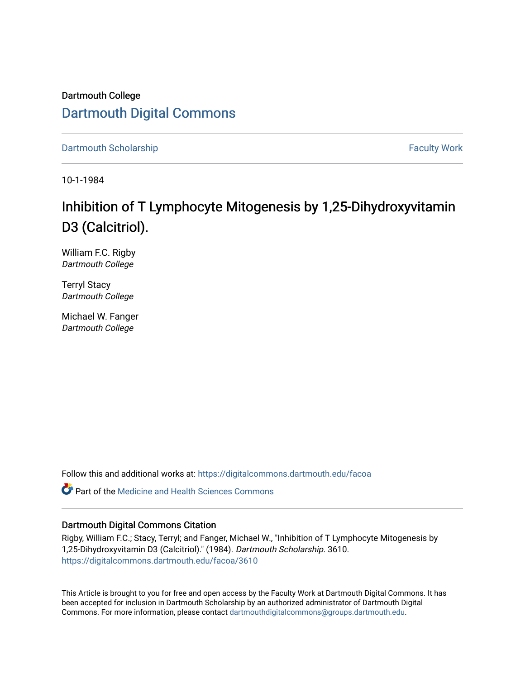Dartmouth College [Dartmouth Digital Commons](https://digitalcommons.dartmouth.edu/) 

[Dartmouth Scholarship](https://digitalcommons.dartmouth.edu/facoa) Faculty Work

10-1-1984

# Inhibition of T Lymphocyte Mitogenesis by 1,25-Dihy droxyvitamin D3 (Calcitriol).

William F.C. Rigby Dartmouth College

Terryl Stacy Dartmouth College

Michael W. Fanger Dartmouth College

Follow this and additional works at: [https://digitalcommons.dartmouth.edu/facoa](https://digitalcommons.dartmouth.edu/facoa?utm_source=digitalcommons.dartmouth.edu%2Ffacoa%2F3610&utm_medium=PDF&utm_campaign=PDFCoverPages)

 $\bullet$  Part of the Medicine and Health Sciences Commons

# Dartmouth Digital Commons Citation

Rigby, William F.C.; Stacy, Terryl; and Fanger, Michael W., "Inhibition of T Lymphocyte Mitogenesis by 1,25-Dihydroxyvitamin D3 (Calcitriol)." (1984). Dartmouth Scholarship. 3610. [https://digitalcommons.dartmouth.edu/facoa/3610](https://digitalcommons.dartmouth.edu/facoa/3610?utm_source=digitalcommons.dartmouth.edu%2Ffacoa%2F3610&utm_medium=PDF&utm_campaign=PDFCoverPages) 

This Article is brought to you for free and open access by the Faculty Work at Dartmouth Digital Commons. It has been accepted for inclusion in Dartmouth Scholarship by an authorized administrator of Dartmouth Digital Commons. For more information, please contact [dartmouthdigitalcommons@groups.dartmouth.edu](mailto:dartmouthdigitalcommons@groups.dartmouth.edu).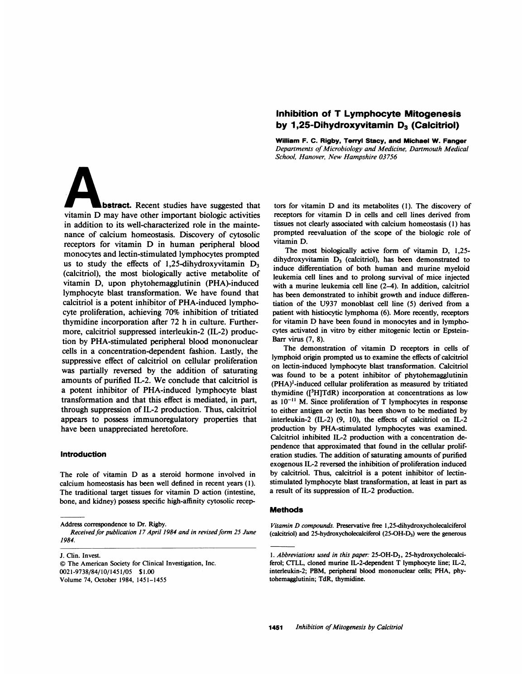# Inhibition of T Lymphocyte Mitogenesis by 1,25-Dihydroxyvitamin  $D_3$  (Calcitriol)

William F. C. Rigby, Terryl Stacy, and Michael W. Fanger Departments of Microbiology and Medicine, Dartmouth Medical School, Hanover, New Hampshire 03756

bstract. Recent studies have suggested that vitamin D may have other important biologic activities in addition to its well-characterized role in the maintenance of calcium homeostasis. Discovery of cytosolic receptors for vitamin D in human peripheral blood monocytes and lectin-stimulated lymphocytes prompted us to study the effects of 1,25-dihydroxyvitamin  $D_3$ (calcitriol), the most biologically active metabolite of vitamin D, upon phytohemagglutinin (PHA)-induced lymphocyte blast transformation. We have found that calcitriol is a potent inhibitor of PHA-induced lymphocyte proliferation, achieving 70% inhibition of tritiated thymidine incorporation after 72 h in culture. Furthermore, calcitriol suppressed interleukin-2 (IL-2) production by PHA-stimulated peripheral blood mononuclear cells in a concentration-dependent fashion. Lastly, the suppressive effect of calcitriol on cellular proliferation was partially reversed by the addition of saturating amounts of purified IL-2. We conclude that calcitriol is a potent inhibitor of PHA-induced lymphocyte blast transformation and that this effect is mediated, in part, through suppression of IL-2 production. Thus, calcitriol appears to possess immunoregulatory properties that have been unappreciated heretofore.

### Introduction

The role of vitamin D as <sup>a</sup> steroid hormone involved in calcium homeostasis has been well defined in recent years (1). The traditional target tissues for vitamin D action (intestine, bone, and kidney) possess specific high-affinity cytosolic recep-

J. Clin. Invest. © The American Society for Clinical Investigation, Inc. 0021-9738/84/10/1451/05 \$ 1.00 Volume 74, October 1984, 1451-1455

tors for vitamin D and its metabolites (1). The discovery of receptors for vitamin D in cells and cell lines derived from tissues not clearly associated with calcium homeostasis (1) has prompted reevaluation of the scope of the biologic role of vitamin D.

The most biologically active form of vitamin D, 1,25 dihydroxyvitamin  $D_3$  (calcitriol), has been demonstrated to induce differentiation of both human and murine myeloid leukemia cell lines and to prolong survival of mice injected with a murine leukemia cell line (2-4). In addition, calcitriol has been demonstrated to inhibit growth and induce differentiation of the U937 monoblast cell line (5) derived from a patient with histiocytic lymphoma (6). More recently, receptors for vitamin D have been found in monocytes and in lymphocytes activated in vitro by either mitogenic lectin or Epstein-Barr virus (7, 8).

The demonstration of vitamin D receptors in cells of lymphoid origin prompted us to examine the effects of calcitriol on lectin-induced lymphocyte blast transformation. Calcitriol was found to be a potent inhibitor of phytohemagglutinin (PHA)'-induced cellular proliferation as measured by tritiated thymidine  $($ [ $3$ H]TdR) incorporation at concentrations as low as  $10^{-11}$  M. Since proliferation of T lymphocytes in response to either antigen or lectin has been shown to be mediated by interleukin-2 (IL-2) (9, 10), the effects of calcitriol on IL-2 production by PHA-stimulated lymphocytes was examined. Calcitriol inhibited IL-2 production with a concentration dependence that approximated that found in the cellular proliferation studies. The addition of saturating amounts of purified exogenous IL-2 reversed the inhibition of proliferation induced by calcitriol. Thus, calcitriol is a potent inhibitor of lectinstimulated lymphocyte blast transformation, at least in part as a result of its suppression of IL-2 production.

#### Methods

Vitamin D compounds. Preservative free 1,25-dihydroxycholecalciferol (calcitriol) and 25-hydroxycholecalciferol (25-OH-D3) were the generous

Address correspondence to Dr. Rigby.

Received for publication 17 April 1984 and in revised form 25 June 1984.

<sup>1.</sup> Abbreviations used in this paper: 25-OH-D3, 25-hydroxycholecalciferol; CTLL, cloned murine IL-2-dependent T lymphocyte line; IL-2, interleukin-2; PBM, peripheral blood mononuclear cells; PHA, phytohemagglutinin; TdR, thymidine.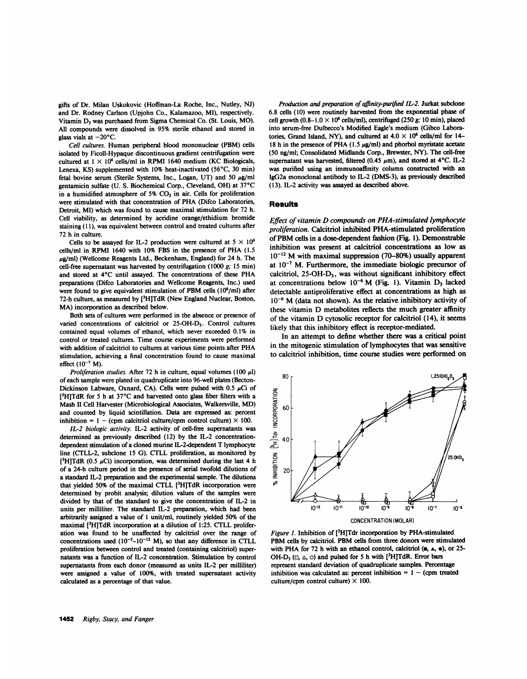gifts of Dr. Milan Uskokovic (Hoffman-La Roche, Inc., Nutley, NJ) and Dr. Rodney Carlson (Upjohn Co., Kalamazoo, MI), respectively. Vitamin D<sub>3</sub> was purchased from Sigma Chemical Co. (St. Louis, MO). All compounds were dissolved in 95% sterile ethanol and stored in glass vials at  $-20^{\circ}$ C.

Cell cultures. Human peripheral blood mononuclear (PBM) cells isolated by Ficoll-Hypaque discontinuous gradient centrifugation were cultured at  $1 \times 10^6$  cells/ml in RPMI 1640 medium (KC Biologicals, Lenexa, KS) supplemented with  $10\%$  heat-inactivated (56 $^{\circ}$ C, 30 min) fetal bovine serum (Sterile Systems, Inc., Logan, UT) and 50  $\mu$ g/ml gentamicin sulfate (U. S. Biochemical Corp., Cleveland, OH) at 37°C in a humidified atmosphere of 5%  $CO<sub>2</sub>$  in air. Cells for proliferation were stimulated with that concentration of PHA (Difco Laboratories, Detroit, MI) which was found to cause maximal stimulation for 72 h. Cell viability, as determined by acridine orange/ethidium bromide staining (11), was equivalent between control and treated cultures after 72 h in culture.

Cells to be assayed for IL-2 production were cultured at  $5 \times 10^6$ cells/ml in RPMI <sup>1640</sup> with 10% FBS in the presence of PHA (1.5  $\mu$ g/ml) (Wellcome Reagents Ltd., Beckenham, England) for 24 h. The cell-free supernatant was harvested by centrifugation (1000  $g$ ; 15 min) and stored at 4°C until assayed. The concentrations of these PHA preparations (Difco Laboratories and Wellcome Reagents, Inc.) used were found to give equivalent stimulation of PBM cells (10<sup>6</sup>/ml) after 72-h culture, as measured by <sup>[3</sup>H]TdR (New England Nuclear, Boston, MA) incorporation as described below.

Both sets of cultures were performed in the absence or presence of varied concentrations of calcitriol or 25-OH-D3. Control cultures contained equal volumes of ethanol, which never exceeded 0.1% in control or treated cultures. Time course experiments were performed with addition of calcitriol to cultures at various time points after PHA stimulation, achieving a final concentration found to cause maximal effect  $(10^{-7} M)$ .

Proliferation studies. After 72 h in culture, equal volumes (100  $\mu$ l) of each sample were plated in quadruplicate into 96-well plates (Becton-Dickinson Labware, Oxnard, CA). Cells were pulsed with  $0.5 \mu$ Ci of  $[3H]TdR$  for 5 h at 37°C and harvested onto glass fiber filters with a Mash II Cell Harvester (Microbiological Associates, Walkersville, MD) and counted by liquid scintillation. Data are expressed as: percent inhibition =  $1 -$  (cpm calcitriol culture/cpm control culture)  $\times$  100.

IL-2 biologic activity. IL-2 activity of cell-free supernatants was determined as previously described (12) by the IL-2 concentrationdependent stimulation of <sup>a</sup> cloned murine IL-2-dependent T lymphocyte line (CTLL-2, subclone <sup>15</sup> G). CTLL proliferation, as monitored by [<sup>3</sup>H]TdR (0.5  $\mu$ Ci) incorporation, was determined during the last 4 h of a 24-h culture period in the presence of serial twofold dilutions of a standard IL-2 preparation and the experimental sample. The dilutions that yielded 50% of the maximal CTLL  $[{}^{3}H]TdR$  incorporation were determined by probit analysis; dilution values of the samples were divided by that of the standard to give the concentration of IL-2 in units per milliliter. The standard IL-2 preparation, which had been arbitrarily assigned a value of <sup>1</sup> unit/ml, routinely yielded 50% of the maximal [3H]TdR incorporation at a dilution of 1:25. CTLL proliferation was found to be unaffected by calcitriol over the range of concentrations used  $(10^{-5}-10^{-12}$  M), so that any difference in CTLL proliferation between control and treated (containing calcitriol) supernatants was a function of IL-2 concentration. Stimulation by control supernatants from each donor (measured as units IL-2 per milliliter) were assigned a value of 100%, with treated supernatant activity calculated as a percentage of that value.

Production and preparation of affinity-purified IL-2. Jurkat subclone 6.8 cells (10) were routinely harvested from the exponential phase of cell growth  $(0.8-1.0 \times 10^6 \text{ cells/ml})$ , centrifuged (250 g; 10 min), placed into serum-free Dulbecco's Modified Eagle's medium (Gibco Laboratories, Grand Island, NY), and cultured at  $4.0 \times 10^6$  cells/ml for 14-18 h in the presence of PHA (1.5  $\mu$ g/ml) and phorbol myristate acetate (50 ng/ml; Consolidated Midlands Corp., Brewster, NY). The cell-free supernatant was harvested, filtered (0.45  $\mu$ m), and stored at 4°C. IL-2 was purified using an immunoaffinity column constructed with an IgG2a monoclonal antibody to IL-2 (DMS-3), as previously described (13). IL-2 activity was assayed as described above.

# Results

Effect of vitamin D compounds on PHA-stimulated lymphocyte proliferation. Calcitriol inhibited PHA-stimulated proliferation of PBM cells in <sup>a</sup> dose-dependent fashion (Fig. 1). Demonstrable inhibition was present at calcitriol concentrations as low as  $10^{-12}$  M with maximal suppression (70-80%) usually apparent at  $10^{-7}$  M. Furthermore, the immediate biologic precursor of calcitriol, 25-OH-D3, was without significant inhibitory effect at concentrations below  $10^{-6}$  M (Fig. 1). Vitamin D<sub>3</sub> lacked detectable antiproliferative effect at concentrations as high as  $10^{-6}$  M (data not shown). As the relative inhibitory activity of these vitamin D metabolites reflects the much greater affinity of the vitamin D cytosolic receptor for calcitriol (14), it seems likely that this inhibitory effect is receptor-mediated.

In an attempt to define whether there was a critical point in the mitogenic stimulation of lymphocytes that was sensitive to calcitriol inhibition, time course studies were performed on



Figure 1. Inhibition of [<sup>3</sup>H]Tdr incorporation by PHA-stimulated PBM cells by calcitriol. PBM cells from three donors were stimulated with PHA for 72 h with an ethanol control, calcitriol  $(\mathbf{m}, \mathbf{A}, \mathbf{e})$ , or 25-OH-D<sub>3</sub> ( $\Box$ ,  $\triangle$ ,  $\Diamond$ ) and pulsed for 5 h with [<sup>3</sup>H]TdR. Error bars represent standard deviation of quadruplicate samples. Percentage inhibition was calculated as: percent inhibition  $= 1 - (cpm$  treated culture/cpm control culture)  $\times$  100.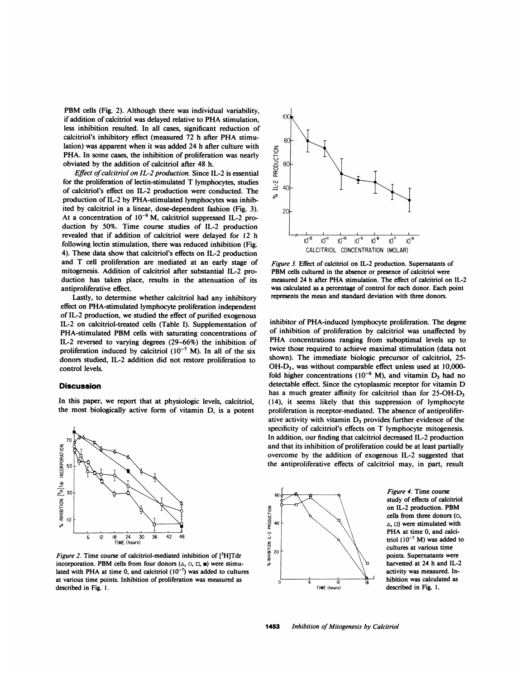PBM cells (Fig. 2). Although there was individual variability, if addition of calcitriol was delayed relative to PHA stimulation, less inhibition resulted. In all cases, significant reduction of calcitriol's inhibitory effect (measured <sup>72</sup> h after PHA stimulation) was apparent when it was added 24 h after culture with PHA. In some cases, the inhibition of proliferation was nearly obviated by the addition of calcitriol after 48 h.

Effect of calcitriol on IL-2 production. Since IL-2 is essential for the proliferation of lectin-stimulated T lymphocytes, studies of calcitriol's effect on IL-2 production were conducted. The production of IL-2 by PHA-stimulated lymphocytes was inhibited by calcitriol in a linear, dose-dependent fashion (Fig. 3). At a concentration of  $10^{-9}$  M, calcitriol suppressed IL-2 production by 50%. Time course studies of IL-2 production revealed that if addition of calcitriol were delayed for 12 h following lectin stimulation, there was reduced inhibition (Fig. 4). These data show that calcitriol's effects on IL-2 production and T cell proliferation are mediated at an early stage of mitogenesis. Addition of calcitriol after substantial IL-2 production has taken place, results in the attenuation of its antiproliferative effect.

Lastly, to determine whether calcitriol had any inhibitory effect on PHA-stimulated lymphocyte proliferation independent of IL-2 production, we studied the effect of purified exogenous IL-2 on calcitriol-treated cells (Table I). Supplementation of PHA-stimulated PBM cells with saturating concentrations of IL-2 reversed to varying degrees (29-66%) the inhibition of proliferation induced by calcitriol  $(10^{-7}$  M). In all of the six donors studied, IL-2 addition did not restore proliferation to control levels.

## **Discussion**

In this paper, we report that at physiologic levels, calcitriol, the most biologically active form of vitamin D, is a potent



Figure 2. Time course of calcitriol-mediated inhibition of [3H]Tdr incorporation. PBM cells from four donors  $(\triangle, \circ, \square, \blacksquare)$  were stimulated with PHA at time 0, and calcitriol  $(10^{-7})$  was added to cultures at various time points. Inhibition of proliferation was measured as described in Fig. 1.



Figure 3. Effect of calcitriol on IL-2 production. Supernatants of PBM cells cultured in the absence or presence of calcitriol were measured 24 h after PHA stimulation. The effect of calcitriol on IL-2 was calculated as a percentage of control for each donor. Each point represents the mean and standard deviation with three donors.

inhibitor of PHA-induced lymphocyte proliferation. The degree of inhibition of proliferation by calcitriol was unaffected by PHA concentrations ranging from suboptimal levels up to twice those required to achieve maximal stimulation (data not shown). The immediate biologic precursor of calcitriol, 25- OH-D3, was without comparable effect unless used at 10,000 fold higher concentrations ( $10^{-6}$  M), and vitamin D<sub>3</sub> had no detectable effect. Since the cytoplasmic receptor for vitamin D has a much greater affinity for calcitriol than for 25-OH-D<sub>3</sub> (14), it seems likely that this suppression of lymphocyte proliferation is receptor-mediated. The absence of antiproliferative activity with vitamin  $D_3$  provides further evidence of the specificity of calcitriol's effects on T lymphocyte mitogenesis. In addition, our finding that calcitriol decreased IL-2 production and that its inhibition of proliferation could be at least partially overcome by the addition of exogenous IL-2 suggested that the antiproliferative effects of calcitriol may, in part, result



Figure 4. Time course study of effects of calcitriol on IL-2 production. PBM cells from three donors (o, PHA at time 0, and calcitriol  $(10^{-7}$  M) was added to points. Supernatants were harvested at 24 h and IL-2 activity was measured. Inhibition was calculated as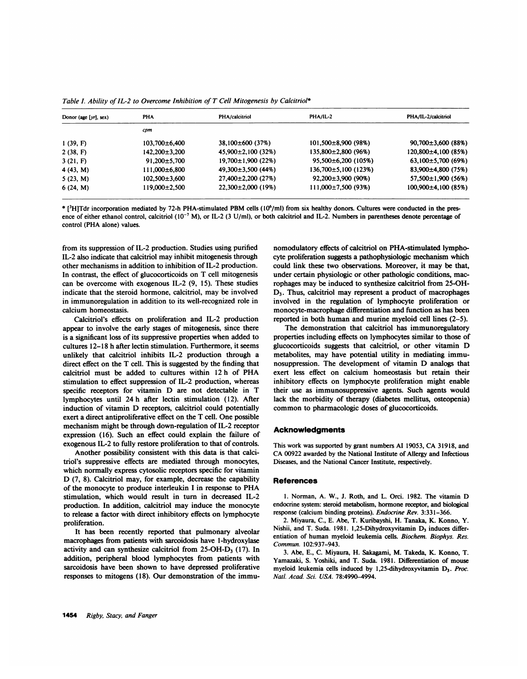| Donor (age $[yr]$ , sex) | PHA                 | PHA/calcitriol           | PHA/IL-2                   | PHA/IL-2/calcitriol       |
|--------------------------|---------------------|--------------------------|----------------------------|---------------------------|
|                          | срт                 |                          |                            |                           |
| 1(39, F)                 | $103,700\pm6,400$   | $38,100\pm600$ (37%)     | $101,500\pm8,900$ (98%)    | $90,700\pm3,600(88%)$     |
| 2(38, F)                 | $142.200 \pm 3.200$ | $45,900\pm2,100(32\%)$   | $135,800 \pm 2,800$ (96%)  | 120,800±4,100 (85%)       |
| 3(21, F)                 | $91.200 \pm 5.700$  | $19,700 \pm 1,900$ (22%) | $95,500\pm6,200(105\%)$    | $63,100\pm5,700(69%)$     |
| 4(43, M)                 | 111,000±6,800       | $49,300 \pm 3,500$ (44%) | $136,700 \pm 5,100$ (123%) | $83,900\pm4,800(75%)$     |
| 5(23, M)                 | $102,500\pm3,600$   | $27,400\pm2,200$ (27%)   | $92,200\pm3,900$ (90%)     | $57,500 \pm 1,900$ (56%)  |
| 6(24, M)                 | 119.000±2.500       | $22.300 \pm 2.000$ (19%) | $111,000\pm7,500$ (93%)    | $100.900 \pm 4.100$ (85%) |

Table I. Ability of IL-2 to Overcome Inhibition of T Cell Mitogenesis by Calcitriol\*

\* [3H]Tdr incorporation mediated by 72-h PHA-stimulated PBM cells (106/ml) from six healthy donors. Cultures were conducted in the presence of either ethanol control, calcitriol (10<sup>-7</sup> M), or IL-2 (3 U/ml), or both calcitriol and IL-2. Numbers in parentheses denote percentage of control (PHA alone) values.

from its suppression of IL-2 production. Studies using purified IL-2 also indicate that calcitriol may inhibit mitogenesis through other mechanisms in addition to inhibition of IL-2 production. In contrast, the effect of glucocorticoids on T cell mitogenesis can be overcome with exogenous IL-2 (9, 15). These studies indicate that the steroid hormone, calcitriol, may be involved in immunoregulation in addition to its well-recognized role in calcium homeostasis.

Calcitriol's effects on proliferation and IL-2 production appear to involve the early stages of mitogenesis, since there is a significant loss of its suppressive properties when added to cultures 12-18 h after lectin stimulation. Furthermore, it seems unlikely that calcitriol inhibits IL-2 production through a direct effect on the T cell. This is suggested by the finding that calcitriol must be added to cultures within <sup>12</sup> h of PHA stimulation to effect suppression of IL-2 production, whereas specific receptors for vitamin D are not detectable in T lymphocytes until 24 h after lectin stimulation (12). After induction of vitamin D receptors, calcitriol could potentially exert a direct antiproliferative effect on the T cell. One possible mechanism might be through down-regulation of IL-2 receptor expression (16). Such an effect could explain the failure of exogenous IL-2 to fully restore proliferation to that of controls.

Another possibility consistent with this data is that calcitriol's suppressive effects are mediated through monocytes, which normally express cytosolic receptors specific for vitamin D (7, 8). Calcitriol may, for example, decrease the capability of the monocyte to produce interleukin <sup>I</sup> in response to PHA stimulation, which would result in turn in decreased IL-2 production. In addition, calcitriol may induce the monocyte to release a factor with direct inhibitory effects on lymphocyte proliferation.

It has been recently reported that pulmonary alveolar macrophages from patients with sarcoidosis have 1-hydroxylase activity and can synthesize calcitriol from  $25$ -OH-D<sub>3</sub> (17). In addition, peripheral blood lymphocytes from patients with sarcoidosis have been shown to have depressed proliferative responses to mitogens (18). Our demonstration of the immu-

nomodulatory effects of calcitriol on PHA-stimulated lymphocyte proliferation suggests a pathophysiologic mechanism which could link these two observations. Moreover, it may be that, under certain physiologic or other pathologic conditions, macrophages may be induced to synthesize calcitriol from 25-OH-D3. Thus, calcitriol may represent a product of macrophages involved in the regulation of lymphocyte proliferation or monocyte-macrophage differentiation and function as has been reported in both human and murine myeloid cell lines (2-5).

The demonstration that calcitriol has immunoregulatory properties including effects on lymphocytes similar to those of glucocorticoids suggests that calcitriol, or other vitamin D metabolites, may have potential utility in mediating immunosuppression. The development of vitamin D analogs that exert less effect on calcium homeostasis but retain their inhibitory effects on lymphocyte proliferation might enable their use as immunosuppressive agents. Such agents would lack the morbidity of therapy (diabetes mellitus, osteopenia) common to pharmacologic doses of glucocorticoids.

## **Acknowledgments**

This work was supported by grant numbers Al 19053, CA 31918, and CA 00922 awarded by the National Institute of Allergy and Infectious Diseases, and the National Cancer Institute, respectively.

#### References

1. Norman, A. W., J. Roth, and L. Orci. 1982. The vitamin D endocrine system: steroid metabolism, hormone receptor, and biological response (calcium binding proteins). Endocrine Rev. 3:331-366.

2. Miyaura, C., E. Abe, T. Kuribayshi, H. Tanaka, K. Konno, Y. Nishii, and T. Suda. 1981. 1,25-Dihydroxyvitamin  $D_3$  induces differentiation of human myeloid leukemia cells. Biochem. Biophys. Res. Commun. 102:937-943.

3. Abe, E., C. Miyaura, H. Sakagami, M. Takeda, K. Konno, T. Yamazaki, S. Yoshiki, and T. Suda. 1981. Differentiation of mouse myeloid leukemia cells induced by 1,25-dihydroxyvitamin D<sub>3</sub>. Proc. Natl. Acad. Sci. USA. 78:4990-4994.